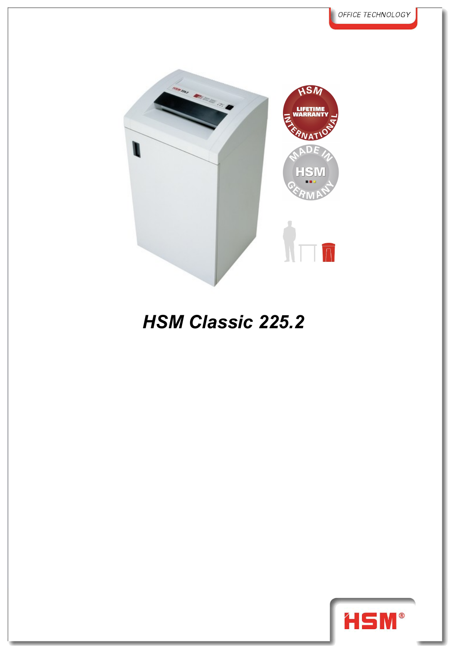

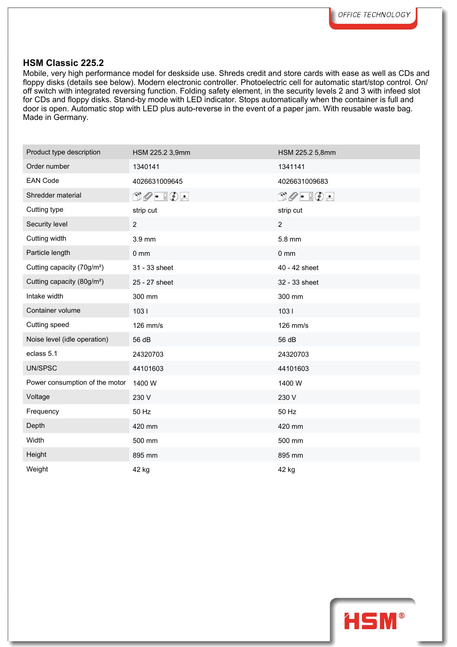Mobile, very high performance model for deskside use. Shreds credit and store cards with ease as well as CDs and floppy disks (details see below). Modern electronic controller. Photoelectric cell for automatic start/stop control. On/ off switch with integrated reversing function. Folding safety element, in the security levels 2 and 3 with infeed slot for CDs and floppy disks. Stand-by mode with LED indicator. Stops automatically when the container is full and door is open. Automatic stop with LED plus auto-reverse in the event of a paper jam. With reusable waste bag. Made in Germany.

| Product type description               | HSM 225.2 3,9mm                                                                                                                                                                                                                                                                                                                                     | HSM 225.2 5,8mm                                                                                                                                                                                                                                                                                                                                     |
|----------------------------------------|-----------------------------------------------------------------------------------------------------------------------------------------------------------------------------------------------------------------------------------------------------------------------------------------------------------------------------------------------------|-----------------------------------------------------------------------------------------------------------------------------------------------------------------------------------------------------------------------------------------------------------------------------------------------------------------------------------------------------|
| Order number                           | 1340141                                                                                                                                                                                                                                                                                                                                             | 1341141                                                                                                                                                                                                                                                                                                                                             |
| <b>EAN Code</b>                        | 4026631009645                                                                                                                                                                                                                                                                                                                                       | 4026631009683                                                                                                                                                                                                                                                                                                                                       |
| Shredder material                      | $\begin{picture}(15,14) \put(0,0){\line(1,0){10}} \put(15,0){\line(1,0){10}} \put(15,0){\line(1,0){10}} \put(15,0){\line(1,0){10}} \put(15,0){\line(1,0){10}} \put(15,0){\line(1,0){10}} \put(15,0){\line(1,0){10}} \put(15,0){\line(1,0){10}} \put(15,0){\line(1,0){10}} \put(15,0){\line(1,0){10}} \put(15,0){\line(1,0){10}} \put(15,0){\line(1$ | $\begin{picture}(15,14) \put(0,0){\line(1,0){10}} \put(15,0){\line(1,0){10}} \put(15,0){\line(1,0){10}} \put(15,0){\line(1,0){10}} \put(15,0){\line(1,0){10}} \put(15,0){\line(1,0){10}} \put(15,0){\line(1,0){10}} \put(15,0){\line(1,0){10}} \put(15,0){\line(1,0){10}} \put(15,0){\line(1,0){10}} \put(15,0){\line(1,0){10}} \put(15,0){\line(1$ |
| Cutting type                           | strip cut                                                                                                                                                                                                                                                                                                                                           | strip cut                                                                                                                                                                                                                                                                                                                                           |
| Security level                         | $\overline{2}$                                                                                                                                                                                                                                                                                                                                      | $\overline{2}$                                                                                                                                                                                                                                                                                                                                      |
| Cutting width                          | $3.9 \text{ mm}$                                                                                                                                                                                                                                                                                                                                    | 5.8 mm                                                                                                                                                                                                                                                                                                                                              |
| Particle length                        | 0 <sub>mm</sub>                                                                                                                                                                                                                                                                                                                                     | $0 \text{ mm}$                                                                                                                                                                                                                                                                                                                                      |
| Cutting capacity (70g/m <sup>2</sup> ) | 31 - 33 sheet                                                                                                                                                                                                                                                                                                                                       | 40 - 42 sheet                                                                                                                                                                                                                                                                                                                                       |
| Cutting capacity (80g/m <sup>2</sup> ) | 25 - 27 sheet                                                                                                                                                                                                                                                                                                                                       | 32 - 33 sheet                                                                                                                                                                                                                                                                                                                                       |
| Intake width                           | 300 mm                                                                                                                                                                                                                                                                                                                                              | 300 mm                                                                                                                                                                                                                                                                                                                                              |
| Container volume                       | 1031                                                                                                                                                                                                                                                                                                                                                | 1031                                                                                                                                                                                                                                                                                                                                                |
| Cutting speed                          | 126 mm/s                                                                                                                                                                                                                                                                                                                                            | 126 mm/s                                                                                                                                                                                                                                                                                                                                            |
| Noise level (idle operation)           | 56 dB                                                                                                                                                                                                                                                                                                                                               | 56 dB                                                                                                                                                                                                                                                                                                                                               |
| eclass 5.1                             | 24320703                                                                                                                                                                                                                                                                                                                                            | 24320703                                                                                                                                                                                                                                                                                                                                            |
| UN/SPSC                                | 44101603                                                                                                                                                                                                                                                                                                                                            | 44101603                                                                                                                                                                                                                                                                                                                                            |
| Power consumption of the motor         | 1400 W                                                                                                                                                                                                                                                                                                                                              | 1400 W                                                                                                                                                                                                                                                                                                                                              |
| Voltage                                | 230 V                                                                                                                                                                                                                                                                                                                                               | 230 V                                                                                                                                                                                                                                                                                                                                               |
| Frequency                              | 50 Hz                                                                                                                                                                                                                                                                                                                                               | 50 Hz                                                                                                                                                                                                                                                                                                                                               |
| Depth                                  | 420 mm                                                                                                                                                                                                                                                                                                                                              | 420 mm                                                                                                                                                                                                                                                                                                                                              |
| Width                                  | 500 mm                                                                                                                                                                                                                                                                                                                                              | 500 mm                                                                                                                                                                                                                                                                                                                                              |
| Height                                 | 895 mm                                                                                                                                                                                                                                                                                                                                              | 895 mm                                                                                                                                                                                                                                                                                                                                              |
| Weight                                 | 42 kg                                                                                                                                                                                                                                                                                                                                               | 42 kg                                                                                                                                                                                                                                                                                                                                               |
|                                        |                                                                                                                                                                                                                                                                                                                                                     |                                                                                                                                                                                                                                                                                                                                                     |

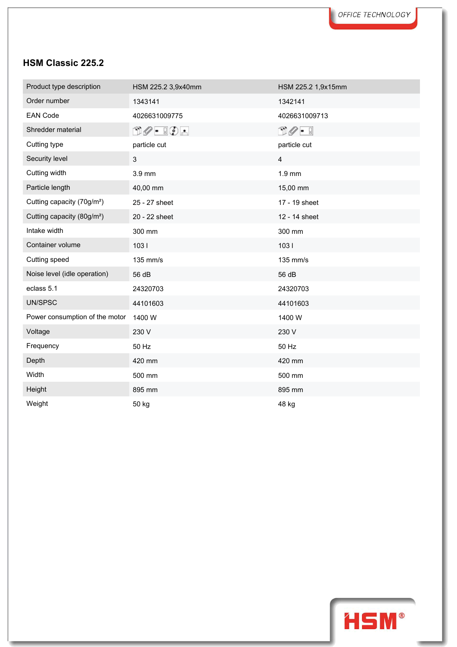| Product type description               | HSM 225.2 3,9x40mm              | HSM 225.2 1,9x15mm              |
|----------------------------------------|---------------------------------|---------------------------------|
| Order number                           | 1343141                         | 1342141                         |
| <b>EAN Code</b>                        | 4026631009775                   | 4026631009713                   |
| Shredder material                      | $\Box\oslash$ - $\Box\oslash$ - | $\cup \mathscr{O} = \mathbb{R}$ |
| Cutting type                           | particle cut                    | particle cut                    |
| Security level                         | 3                               | $\overline{4}$                  |
| Cutting width                          | 3.9 mm                          | 1.9 mm                          |
| Particle length                        | 40,00 mm                        | 15,00 mm                        |
| Cutting capacity (70g/m <sup>2</sup> ) | 25 - 27 sheet                   | 17 - 19 sheet                   |
| Cutting capacity (80g/m <sup>2</sup> ) | 20 - 22 sheet                   | 12 - 14 sheet                   |
| Intake width                           | 300 mm                          | 300 mm                          |
| Container volume                       | 1031                            | 1031                            |
| Cutting speed                          | 135 mm/s                        | 135 mm/s                        |
| Noise level (idle operation)           | 56 dB                           | 56 dB                           |
| eclass 5.1                             | 24320703                        | 24320703                        |
| UN/SPSC                                | 44101603                        | 44101603                        |
| Power consumption of the motor         | 1400 W                          | 1400 W                          |
| Voltage                                | 230 V                           | 230 V                           |
| Frequency                              | 50 Hz                           | 50 Hz                           |
| Depth                                  | 420 mm                          | 420 mm                          |
| Width                                  | 500 mm                          | 500 mm                          |
| Height                                 | 895 mm                          | 895 mm                          |
| Weight                                 | 50 kg                           | 48 kg                           |